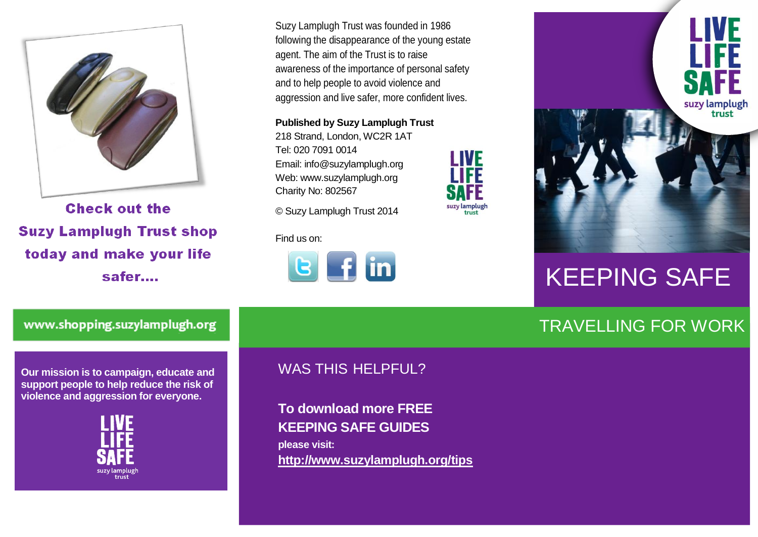

**Check out the Suzy Lamplugh Trust shop** today and make your life safer....

Suzy Lamplugh Trust was founded in 1986 following the disappearance of the young estate agent. The aim of the Trust is to raise awareness of the importance of personal safety and to help people to avoid violence and aggression and live safer, more confident lives.

**I IVF** 

suzy lamplugł

**Published by Suzy Lamplugh Trust**

218 Strand, London, WC2R 1AT Tel: 020 7091 0014 Email: info@suzylamplugh.org Web: www.suzylamplugh.org Charity No: 802567

© Suzy Lamplugh Trust 2014

Find us on:





# KEEPING SAFE

#### TRAVELLING FOR WORK

www.shopping.suzylamplugh.org

**Our mission is to campaign, educate and support people to help reduce the risk of violence and aggression for everyone.** 



#### WAS THIS HELPFUL?

**To download more FREE KEEPING SAFE GUIDES please visit: <http://www.suzylamplugh.org/tips>**